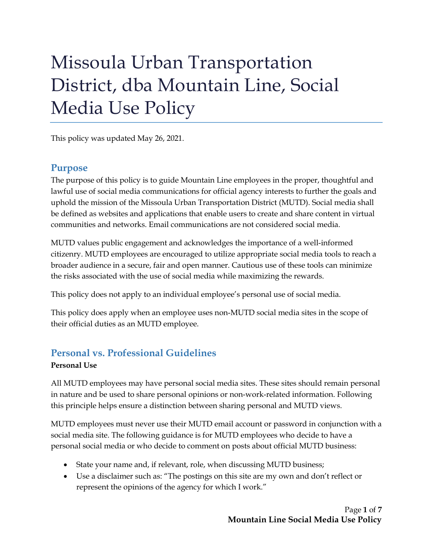# Missoula Urban Transportation District, dba Mountain Line, Social Media Use Policy

This policy was updated May 26, 2021.

#### **Purpose**

The purpose of this policy is to guide Mountain Line employees in the proper, thoughtful and lawful use of social media communications for official agency interests to further the goals and uphold the mission of the Missoula Urban Transportation District (MUTD). Social media shall be defined as websites and applications that enable users to create and share content in virtual communities and networks. Email communications are not considered social media.

MUTD values public engagement and acknowledges the importance of a well-informed citizenry. MUTD employees are encouraged to utilize appropriate social media tools to reach a broader audience in a secure, fair and open manner. Cautious use of these tools can minimize the risks associated with the use of social media while maximizing the rewards.

This policy does not apply to an individual employee's personal use of social media.

This policy does apply when an employee uses non-MUTD social media sites in the scope of their official duties as an MUTD employee.

# **Personal vs. Professional Guidelines**

#### **Personal Use**

All MUTD employees may have personal social media sites. These sites should remain personal in nature and be used to share personal opinions or non-work-related information. Following this principle helps ensure a distinction between sharing personal and MUTD views.

MUTD employees must never use their MUTD email account or password in conjunction with a social media site. The following guidance is for MUTD employees who decide to have a personal social media or who decide to comment on posts about official MUTD business:

- State your name and, if relevant, role, when discussing MUTD business;
- Use a disclaimer such as: "The postings on this site are my own and don't reflect or represent the opinions of the agency for which I work."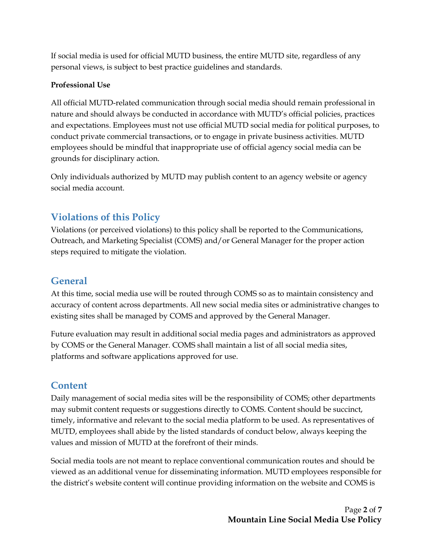If social media is used for official MUTD business, the entire MUTD site, regardless of any personal views, is subject to best practice guidelines and standards.

#### **Professional Use**

All official MUTD-related communication through social media should remain professional in nature and should always be conducted in accordance with MUTD's official policies, practices and expectations. Employees must not use official MUTD social media for political purposes, to conduct private commercial transactions, or to engage in private business activities. MUTD employees should be mindful that inappropriate use of official agency social media can be grounds for disciplinary action.

Only individuals authorized by MUTD may publish content to an agency website or agency social media account.

# **Violations of this Policy**

Violations (or perceived violations) to this policy shall be reported to the Communications, Outreach, and Marketing Specialist (COMS) and/or General Manager for the proper action steps required to mitigate the violation.

#### **General**

At this time, social media use will be routed through COMS so as to maintain consistency and accuracy of content across departments. All new social media sites or administrative changes to existing sites shall be managed by COMS and approved by the General Manager.

Future evaluation may result in additional social media pages and administrators as approved by COMS or the General Manager. COMS shall maintain a list of all social media sites, platforms and software applications approved for use.

## **Content**

Daily management of social media sites will be the responsibility of COMS; other departments may submit content requests or suggestions directly to COMS. Content should be succinct, timely, informative and relevant to the social media platform to be used. As representatives of MUTD, employees shall abide by the listed standards of conduct below, always keeping the values and mission of MUTD at the forefront of their minds.

Social media tools are not meant to replace conventional communication routes and should be viewed as an additional venue for disseminating information. MUTD employees responsible for the district's website content will continue providing information on the website and COMS is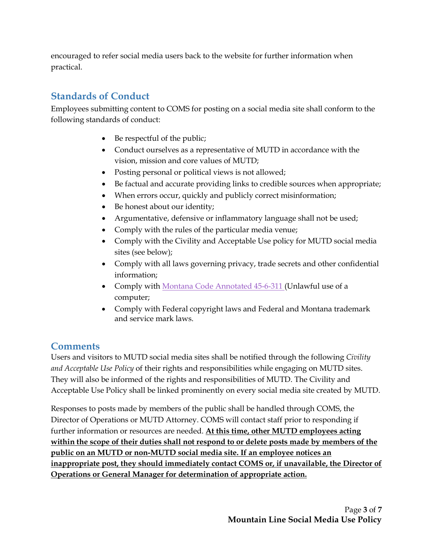encouraged to refer social media users back to the website for further information when practical.

# **Standards of Conduct**

Employees submitting content to COMS for posting on a social media site shall conform to the following standards of conduct:

- Be respectful of the public;
- Conduct ourselves as a representative of MUTD in accordance with the vision, mission and core values of MUTD;
- Posting personal or political views is not allowed;
- Be factual and accurate providing links to credible sources when appropriate;
- When errors occur, quickly and publicly correct misinformation;
- Be honest about our identity;
- Argumentative, defensive or inflammatory language shall not be used;
- Comply with the rules of the particular media venue;
- Comply with the Civility and Acceptable Use policy for MUTD social media sites (see below);
- Comply with all laws governing privacy, trade secrets and other confidential information;
- Comply with [Montana Code Annotated 45-6-311](https://leg.mt.gov/bills/1997/mca/45/6/45-6-311.htm) (Unlawful use of a computer;
- Comply with Federal copyright laws and Federal and Montana trademark and service mark laws.

## **Comments**

Users and visitors to MUTD social media sites shall be notified through the following *Civility and Acceptable Use Policy* of their rights and responsibilities while engaging on MUTD sites. They will also be informed of the rights and responsibilities of MUTD. The Civility and Acceptable Use Policy shall be linked prominently on every social media site created by MUTD.

Responses to posts made by members of the public shall be handled through COMS, the Director of Operations or MUTD Attorney. COMS will contact staff prior to responding if further information or resources are needed. **At this time, other MUTD employees acting within the scope of their duties shall not respond to or delete posts made by members of the public on an MUTD or non-MUTD social media site. If an employee notices an inappropriate post, they should immediately contact COMS or, if unavailable, the Director of Operations or General Manager for determination of appropriate action.**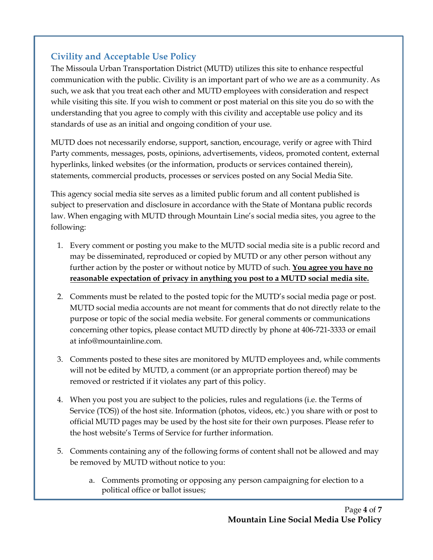# **Civility and Acceptable Use Policy**

The Missoula Urban Transportation District (MUTD) utilizes this site to enhance respectful communication with the public. Civility is an important part of who we are as a community. As such, we ask that you treat each other and MUTD employees with consideration and respect while visiting this site. If you wish to comment or post material on this site you do so with the understanding that you agree to comply with this civility and acceptable use policy and its standards of use as an initial and ongoing condition of your use.

MUTD does not necessarily endorse, support, sanction, encourage, verify or agree with Third Party comments, messages, posts, opinions, advertisements, videos, promoted content, external hyperlinks, linked websites (or the information, products or services contained therein), statements, commercial products, processes or services posted on any Social Media Site.

This agency social media site serves as a limited public forum and all content published is subject to preservation and disclosure in accordance with the State of Montana public records law. When engaging with MUTD through Mountain Line's social media sites, you agree to the following:

- 1. Every comment or posting you make to the MUTD social media site is a public record and may be disseminated, reproduced or copied by MUTD or any other person without any further action by the poster or without notice by MUTD of such. **You agree you have no reasonable expectation of privacy in anything you post to a MUTD social media site.**
- 2. Comments must be related to the posted topic for the MUTD's social media page or post. MUTD social media accounts are not meant for comments that do not directly relate to the purpose or topic of the social media website. For general comments or communications concerning other topics, please contact MUTD directly by phone at 406-721-3333 or email at info@mountainline.com.
- 3. Comments posted to these sites are monitored by MUTD employees and, while comments will not be edited by MUTD, a comment (or an appropriate portion thereof) may be removed or restricted if it violates any part of this policy.
- 4. When you post you are subject to the policies, rules and regulations (i.e. the Terms of Service (TOS)) of the host site. Information (photos, videos, etc.) you share with or post to official MUTD pages may be used by the host site for their own purposes. Please refer to the host website's Terms of Service for further information.
- 5. Comments containing any of the following forms of content shall not be allowed and may be removed by MUTD without notice to you:
	- a. Comments promoting or opposing any person campaigning for election to a political office or ballot issues;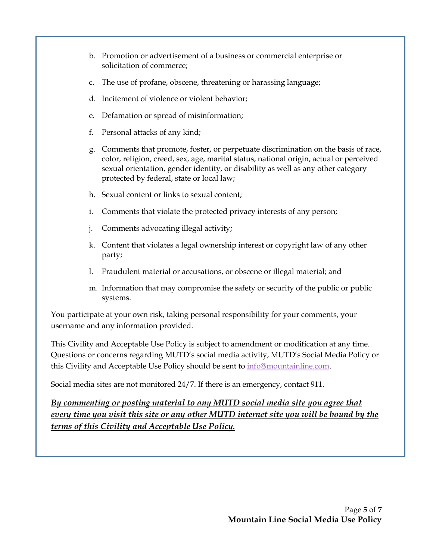- b. Promotion or advertisement of a business or commercial enterprise or solicitation of commerce;
- c. The use of profane, obscene, threatening or harassing language;
- d. Incitement of violence or violent behavior;
- e. Defamation or spread of misinformation;
- f. Personal attacks of any kind;
- g. Comments that promote, foster, or perpetuate discrimination on the basis of race, color, religion, creed, sex, age, marital status, national origin, actual or perceived sexual orientation, gender identity, or disability as well as any other category protected by federal, state or local law;
- h. Sexual content or links to sexual content;
- i. Comments that violate the protected privacy interests of any person;
- j. Comments advocating illegal activity;
- k. Content that violates a legal ownership interest or copyright law of any other party;
- l. Fraudulent material or accusations, or obscene or illegal material; and
- m. Information that may compromise the safety or security of the public or public systems.

You participate at your own risk, taking personal responsibility for your comments, your username and any information provided.

This Civility and Acceptable Use Policy is subject to amendment or modification at any time. Questions or concerns regarding MUTD's social media activity, MUTD's Social Media Policy or this Civility and Acceptable Use Policy should be sent to [info@mountainline.com.](mailto:info@mountainline.com)

Social media sites are not monitored 24/7. If there is an emergency, contact 911.

*By commenting or posting material to any MUTD social media site you agree that every time you visit this site or any other MUTD internet site you will be bound by the terms of this Civility and Acceptable Use Policy.*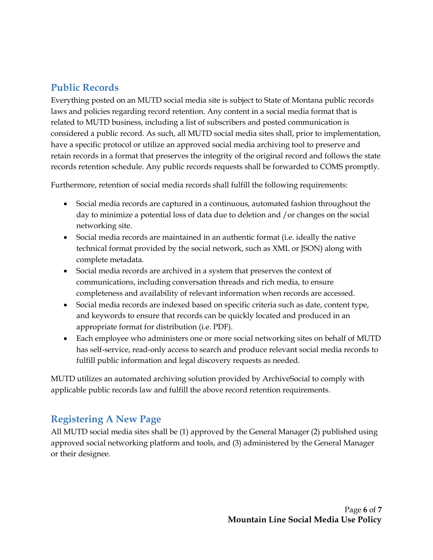# **Public Records**

Everything posted on an MUTD social media site is subject to State of Montana public records laws and policies regarding record retention. Any content in a social media format that is related to MUTD business, including a list of subscribers and posted communication is considered a public record. As such, all MUTD social media sites shall, prior to implementation, have a specific protocol or utilize an approved social media archiving tool to preserve and retain records in a format that preserves the integrity of the original record and follows the state records retention schedule. Any public records requests shall be forwarded to COMS promptly.

Furthermore, retention of social media records shall fulfill the following requirements:

- Social media records are captured in a continuous, automated fashion throughout the day to minimize a potential loss of data due to deletion and /or changes on the social networking site.
- Social media records are maintained in an authentic format (i.e. ideally the native technical format provided by the social network, such as XML or JSON) along with complete metadata.
- Social media records are archived in a system that preserves the context of communications, including conversation threads and rich media, to ensure completeness and availability of relevant information when records are accessed.
- Social media records are indexed based on specific criteria such as date, content type, and keywords to ensure that records can be quickly located and produced in an appropriate format for distribution (i.e. PDF).
- Each employee who administers one or more social networking sites on behalf of MUTD has self-service, read-only access to search and produce relevant social media records to fulfill public information and legal discovery requests as needed.

MUTD utilizes an automated archiving solution provided by ArchiveSocial to comply with applicable public records law and fulfill the above record retention requirements.

## **Registering A New Page**

All MUTD social media sites shall be (1) approved by the General Manager (2) published using approved social networking platform and tools, and (3) administered by the General Manager or their designee.